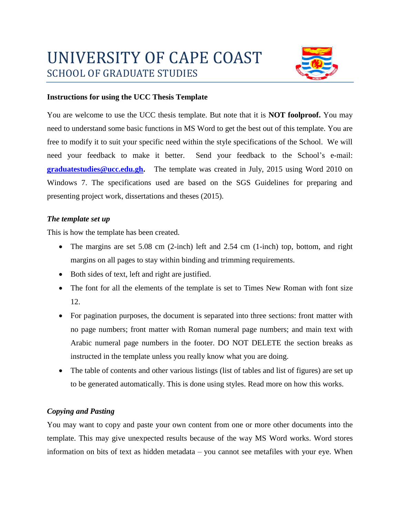

## **Instructions for using the UCC Thesis Template**

You are welcome to use the UCC thesis template. But note that it is **NOT foolproof.** You may need to understand some basic functions in MS Word to get the best out of this template. You are free to modify it to suit your specific need within the style specifications of the School. We will need your feedback to make it better. Send your feedback to the School's e-mail: **[graduatestudies@ucc.edu.gh.](mailto:graduatestudies@ucc.edu.gh)** The template was created in July, 2015 using Word 2010 on Windows 7. The specifications used are based on the SGS Guidelines for preparing and presenting project work, dissertations and theses (2015).

## *The template set up*

This is how the template has been created.

- The margins are set 5.08 cm  $(2\text{-inch})$  left and 2.54 cm  $(1\text{-inch})$  top, bottom, and right margins on all pages to stay within binding and trimming requirements.
- Both sides of text, left and right are justified.
- The font for all the elements of the template is set to Times New Roman with font size 12.
- For pagination purposes, the document is separated into three sections: front matter with no page numbers; front matter with Roman numeral page numbers; and main text with Arabic numeral page numbers in the footer. DO NOT DELETE the section breaks as instructed in the template unless you really know what you are doing.
- The table of contents and other various listings (list of tables and list of figures) are set up to be generated automatically. This is done using styles. Read more on how this works.

## *Copying and Pasting*

You may want to copy and paste your own content from one or more other documents into the template. This may give unexpected results because of the way MS Word works. Word stores information on bits of text as hidden metadata – you cannot see metafiles with your eye. When